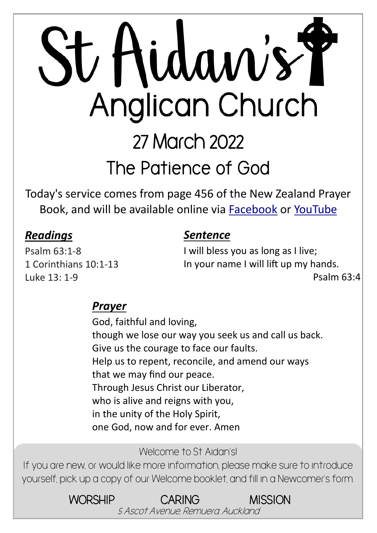# St Hidaw's Y Anglican Church 27 March 2022 **The Patience of God**

Today's service comes from page 456 of the New Zealand Prayer Book, and will be available online via [Facebook](https://www.facebook.com/StAidansRemuera/) or [YouTube](https://www.youtube.com/channel/UCp1KTUD3GRs20GGAFeAZ7fQ)

#### *Readings*

Psalm 63:1-8 1 Corinthians 10:1-13 Luke 13: 1-9

#### *Sentence*

I will bless you as long as I live; In your name I will lift up my hands. Psalm 63:4

#### *Prayer*

God, faithful and loving, though we lose our way you seek us and call us back. Give us the courage to face our faults. Help us to repent, reconcile, and amend our ways that we may find our peace. Through Jesus Christ our Liberator, who is alive and reigns with you, in the unity of the Holy Spirit, one God, now and for ever. Amen

Welcome to St Aidan's!

If you are new, or would like more information, please make sure to introduce yourself, pick up a copy of our Welcome booklet, and fill in a Newcomer's form.

> WORSHIP CARING MISSION 5 Ascot Avenue, Remuera, Auckland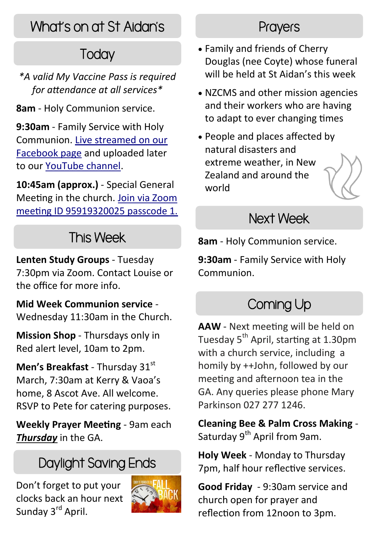# What's on at St Aidan's

# **Today**

*\*A valid My Vaccine Pass is required for attendance at all services\**

**8am** - Holy Communion service.

**9:30am** - Family Service with Holy Communion. [Live streamed on our](https://www.facebook.com/StAidansRemuera/) [Facebook page](https://www.facebook.com/StAidansRemuera/) and uploaded later to our [YouTube channel.](https://www.youtube.com/channel/UCp1KTUD3GRs20GGAFeAZ7fQ)

**10:45am (approx.)** - Special General Meeting in the church. [Join via Zoom](https://zoom.us/j/95919320025?pwd=SHAzL1kwTmcyYm1PdkdzNVNLNUZ6dz09)  [meeting ID 95919320025 passcode 1.](https://zoom.us/j/95919320025?pwd=SHAzL1kwTmcyYm1PdkdzNVNLNUZ6dz09)

### This Week

**Lenten Study Groups** - Tuesday 7:30pm via Zoom. Contact Louise or the office for more info.

**Mid Week Communion service** - Wednesday 11:30am in the Church.

**Mission Shop** - Thursdays only in Red alert level, 10am to 2pm.

**Men's Breakfast** - Thursday 31<sup>st</sup> March, 7:30am at Kerry & Vaoa's home, 8 Ascot Ave. All welcome. RSVP to Pete for catering purposes.

**Weekly Prayer Meeting** - 9am each *Thursday* in the GA.

# Daylight Saving Ends

Don't forget to put your clocks back an hour next Sunday 3<sup>rd</sup> April.



### **Prayers**

- Family and friends of Cherry Douglas (nee Coyte) whose funeral will be held at St Aidan's this week
- NZCMS and other mission agencies and their workers who are having to adapt to ever changing times
- People and places affected by natural disasters and extreme weather, in New Zealand and around the world



#### Next Week

**8am** - Holy Communion service.

**9:30am** - Family Service with Holy Communion.

# Coming Up

**AAW** - Next meeting will be held on Tuesday 5<sup>th</sup> April, starting at 1.30pm with a church service, including a homily by ++John, followed by our meeting and afternoon tea in the GA. Any queries please phone Mary Parkinson 027 277 1246.

**Cleaning Bee & Palm Cross Making** - Saturday 9<sup>th</sup> April from 9am.

**Holy Week** - Monday to Thursday 7pm, half hour reflective services.

**Good Friday** - 9:30am service and church open for prayer and reflection from 12noon to 3pm.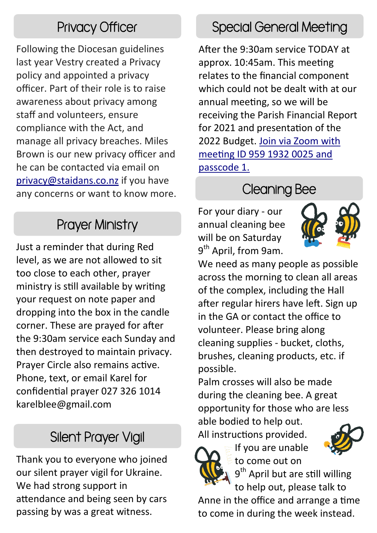Following the Diocesan guidelines last year Vestry created a Privacy policy and appointed a privacy officer. Part of their role is to raise awareness about privacy among staff and volunteers, ensure compliance with the Act, and manage all privacy breaches. Miles Brown is our new privacy officer and he can be contacted via email on [privacy@staidans.co.nz](mailto:privacy@staidans.co.nz) if you have any concerns or want to know more.

#### Prayer Ministry

Just a reminder that during Red level, as we are not allowed to sit too close to each other, prayer ministry is still available by writing your request on note paper and dropping into the box in the candle corner. These are prayed for after the 9:30am service each Sunday and then destroyed to maintain privacy. Prayer Circle also remains active. Phone, text, or email Karel for confidential prayer 027 326 1014 karelblee@gmail.com

## Silent Prayer Vigil

Thank you to everyone who joined our silent prayer vigil for Ukraine. We had strong support in attendance and being seen by cars passing by was a great witness.

#### Privacy Officer Special General Meeting

After the 9:30am service TODAY at approx. 10:45am. This meeting relates to the financial component which could not be dealt with at our annual meeting, so we will be receiving the Parish Financial Report for 2021 and presentation of the 2022 Budget. [Join via Zoom with](https://zoom.us/j/95919320025?pwd=SHAzL1kwTmcyYm1PdkdzNVNLNUZ6dz09)  [meeting ID 959 1932 0025 and](https://zoom.us/j/95919320025?pwd=SHAzL1kwTmcyYm1PdkdzNVNLNUZ6dz09)  [passcode 1.](https://zoom.us/j/95919320025?pwd=SHAzL1kwTmcyYm1PdkdzNVNLNUZ6dz09)

#### Cleaning Bee

For your diary - our annual cleaning bee will be on Saturday 9<sup>th</sup> April, from 9am.



We need as many people as possible across the morning to clean all areas of the complex, including the Hall after regular hirers have left. Sign up in the GA or contact the office to volunteer. Please bring along cleaning supplies - bucket, cloths, brushes, cleaning products, etc. if possible.

Palm crosses will also be made during the cleaning bee. A great opportunity for those who are less able bodied to help out.

All instructions provided.



If you are unable to come out on



9<sup>th</sup> April but are still willing to help out, please talk to

Anne in the office and arrange a time to come in during the week instead.